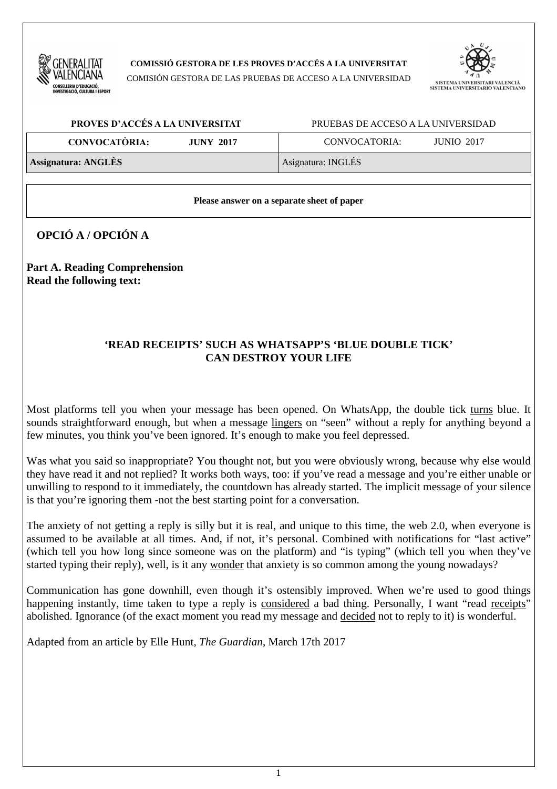

**COMISSIÓ GESTORA DE LES PROVES D'ACCÉS A LA UNIVERSITAT** 

COMISIÓN GESTORA DE LAS PRUEBAS DE ACCESO A LA UNIVERSIDAD



| PROVES D'ACCÉS A LA UNIVERSITAT          | PRUEBAS DE ACCESO A LA UNIVERSIDAD |  |  |
|------------------------------------------|------------------------------------|--|--|
| <b>CONVOCATÒRIA:</b><br><b>JUNY 2017</b> | CONVOCATORIA:<br><b>JUNIO 2017</b> |  |  |
| <b>Assignatura: ANGLÈS</b>               | Asignatura: INGLÉS                 |  |  |

#### **Please answer on a separate sheet of paper**

**OPCIÓ A / OPCIÓN A** 

**Part A. Reading Comprehension Read the following text:** 

# **'READ RECEIPTS' SUCH AS WHATSAPP'S 'BLUE DOUBLE TICK' CAN DESTROY YOUR LIFE**

Most platforms tell you when your message has been opened. On WhatsApp, the double tick turns blue. It sounds straightforward enough, but when a message lingers on "seen" without a reply for anything beyond a few minutes, you think you've been ignored. It's enough to make you feel depressed.

Was what you said so inappropriate? You thought not, but you were obviously wrong, because why else would they have read it and not replied? It works both ways, too: if you've read a message and you're either unable or unwilling to respond to it immediately, the countdown has already started. The implicit message of your silence is that you're ignoring them -not the best starting point for a conversation.

The anxiety of not getting a reply is silly but it is real, and unique to this time, the web 2.0, when everyone is assumed to be available at all times. And, if not, it's personal. Combined with notifications for "last active" (which tell you how long since someone was on the platform) and "is typing" (which tell you when they've started typing their reply), well, is it any wonder that anxiety is so common among the young nowadays?

Communication has gone downhill, even though it's ostensibly improved. When we're used to good things happening instantly, time taken to type a reply is considered a bad thing. Personally, I want "read receipts" abolished. Ignorance (of the exact moment you read my message and decided not to reply to it) is wonderful.

Adapted from an article by Elle Hunt, *The Guardian*, March 17th 2017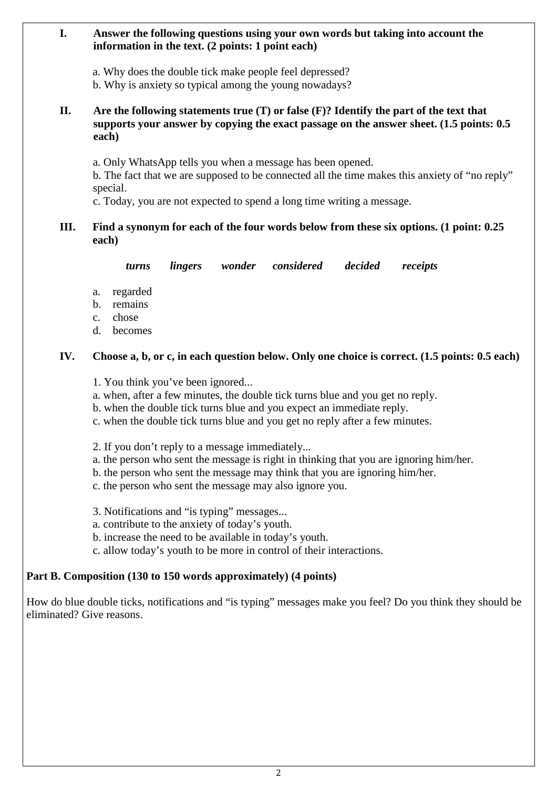### **I. Answer the following questions using your own words but taking into account the information in the text. (2 points: 1 point each)**

a. Why does the double tick make people feel depressed?

b. Why is anxiety so typical among the young nowadays?

# **II. Are the following statements true (T) or false (F)? Identify the part of the text that supports your answer by copying the exact passage on the answer sheet. (1.5 points: 0.5 each)**

a. Only WhatsApp tells you when a message has been opened.

 b. The fact that we are supposed to be connected all the time makes this anxiety of "no reply" special.

c. Today, you are not expected to spend a long time writing a message.

# **III. Find a synonym for each of the four words below from these six options. (1 point: 0.25 each)**

*turns lingers wonder considered decided receipts* 

- a. regarded
- b. remains
- c. chose
- d. becomes

# **IV. Choose a, b, or c, in each question below. Only one choice is correct. (1.5 points: 0.5 each)**

- 1. You think you've been ignored...
- a. when, after a few minutes, the double tick turns blue and you get no reply.
- b. when the double tick turns blue and you expect an immediate reply.
- c. when the double tick turns blue and you get no reply after a few minutes.
- 2. If you don't reply to a message immediately...
- a. the person who sent the message is right in thinking that you are ignoring him/her.
- b. the person who sent the message may think that you are ignoring him/her.
- c. the person who sent the message may also ignore you.

3. Notifications and "is typing" messages...

- a. contribute to the anxiety of today's youth.
- b. increase the need to be available in today's youth.
- c. allow today's youth to be more in control of their interactions.

# **Part B. Composition (130 to 150 words approximately) (4 points)**

How do blue double ticks, notifications and "is typing" messages make you feel? Do you think they should be eliminated? Give reasons.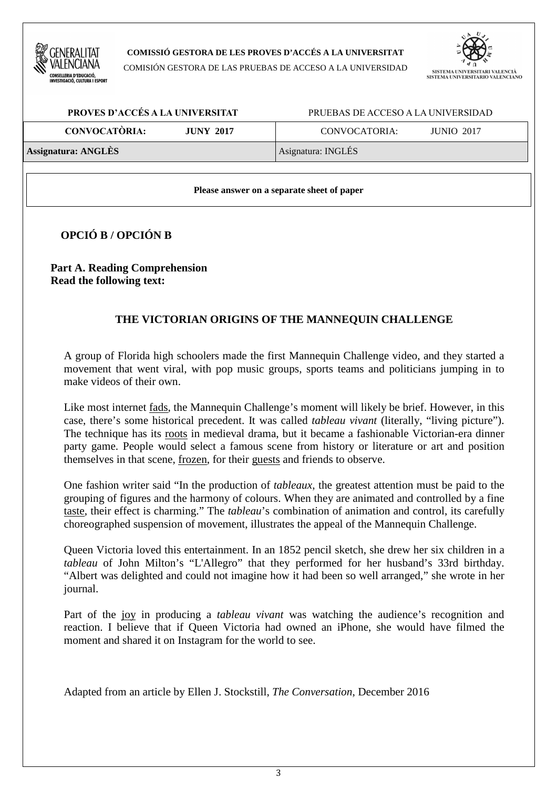

#### **COMISSIÓ GESTORA DE LES PROVES D'ACCÉS A LA UNIVERSITAT**

COMISIÓN GESTORA DE LAS PRUEBAS DE ACCESO A LA UNIVERSIDAD



| PROVES D'ACCÉS A LA UNIVERSITAT          | PRUEBAS DE ACCESO A LA UNIVERSIDAD |  |  |
|------------------------------------------|------------------------------------|--|--|
| <b>CONVOCATÒRIA:</b><br><b>JUNY 2017</b> | CONVOCATORIA:<br><b>JUNIO 2017</b> |  |  |
| <b>Assignatura: ANGLÈS</b>               | Asignatura: INGLÉS                 |  |  |

**Please answer on a separate sheet of paper** 

**OPCIÓ B / OPCIÓN B** 

**Part A. Reading Comprehension Read the following text:** 

# **THE VICTORIAN ORIGINS OF THE MANNEQUIN CHALLENGE**

A group of Florida high schoolers made the first Mannequin Challenge video, and they started a movement that went viral, with pop music groups, sports teams and politicians jumping in to make videos of their own.

Like most internet fads, the Mannequin Challenge's moment will likely be brief. However, in this case, there's some historical precedent. It was called *tableau vivant* (literally, "living picture"). The technique has its roots in medieval drama, but it became a fashionable Victorian-era dinner party game. People would select a famous scene from history or literature or art and position themselves in that scene, frozen, for their guests and friends to observe.

One fashion writer said "In the production of *tableaux*, the greatest attention must be paid to the grouping of figures and the harmony of colours. When they are animated and controlled by a fine taste, their effect is charming." The *tableau*'s combination of animation and control, its carefully choreographed suspension of movement, illustrates the appeal of the Mannequin Challenge.

Queen Victoria loved this entertainment. In an 1852 pencil sketch, she drew her six children in a *tableau* of John Milton's "L'Allegro" that they performed for her husband's 33rd birthday. "Albert was delighted and could not imagine how it had been so well arranged," she wrote in her journal.

Part of the joy in producing a *tableau vivant* was watching the audience's recognition and reaction. I believe that if Queen Victoria had owned an iPhone, she would have filmed the moment and shared it on Instagram for the world to see.

Adapted from an article by Ellen J. Stockstill, *The Conversation*, December 2016